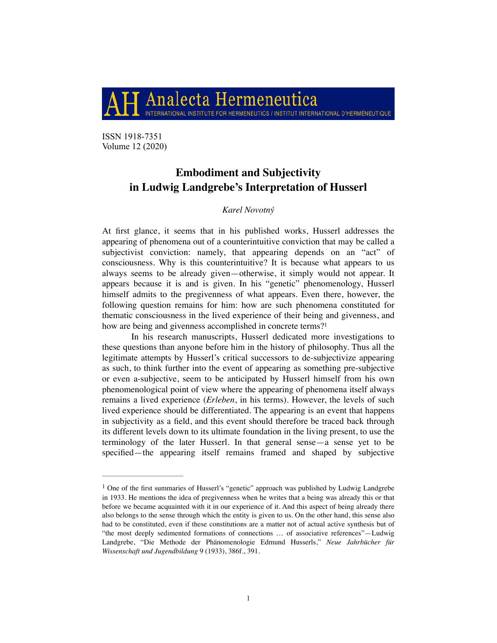Analecta Hermeneutica INTERNATIONAL INSTITUTE FOR HERMENEUTICS / INSTITUT INTERNATIONAL D'HERMÉNEUTIQUE

ISSN 1918-7351 Volume 12 (2020)

# **Embodiment and Subjectivity in Ludwig Landgrebe's Interpretation of Husserl**

## <span id="page-0-1"></span>*Karel Novotný*

At first glance, it seems that in his published works, Husserl addresses the appearing of phenomena out of a counterintuitive conviction that may be called a subjectivist conviction: namely, that appearing depends on an "act" of consciousness. Why is this counterintuitive? It is because what appears to us always seems to be already given—otherwise, it simply would not appear. It appears because it is and is given. In his "genetic" phenomenology, Husserl himself admits to the pregivenness of what appears. Even there, however, the following question remains for him: how are such phenomena constituted for thematic consciousness in the lived experience of their being and givenness, and how are being and givenness accomplished in concrete terms?<sup>[1](#page-0-0)</sup>

In his research manuscripts, Husserl dedicated more investigations to these questions than anyone before him in the history of philosophy. Thus all the legitimate attempts by Husserl's critical successors to de-subjectivize appearing as such, to think further into the event of appearing as something pre-subjective or even a-subjective, seem to be anticipated by Husserl himself from his own phenomenological point of view where the appearing of phenomena itself always remains a lived experience (*Erleben*, in his terms). However, the levels of such lived experience should be differentiated. The appearing is an event that happens in subjectivity as a field, and this event should therefore be traced back through its different levels down to its ultimate foundation in the living present, to use the terminology of the later Husserl. In that general sense—a sense yet to be specified—the appearing itself remains framed and shaped by subjective

<span id="page-0-0"></span><sup>&</sup>lt;sup>1</sup>One of the first summaries of Husserl's "genetic" approach was published by Ludwig Landgrebe in 1933. He mentions the idea of pregivenness when he writes that a being was already this or that before we became acquainted with it in our experience of it. And this aspect of being already there also belongs to the sense through which the entity is given to us. On the other hand, this sense also had to be constituted, even if these constitutions are a matter not of actual active synthesis but of "the most deeply sedimented formations of connections … of associative references"—Ludwig Landgrebe, "Die Methode der Phänomenologie Edmund Husserls," *Neue Jahrbücher für Wissenschaft und Jugendbildung* 9 (1933), 386f., 391.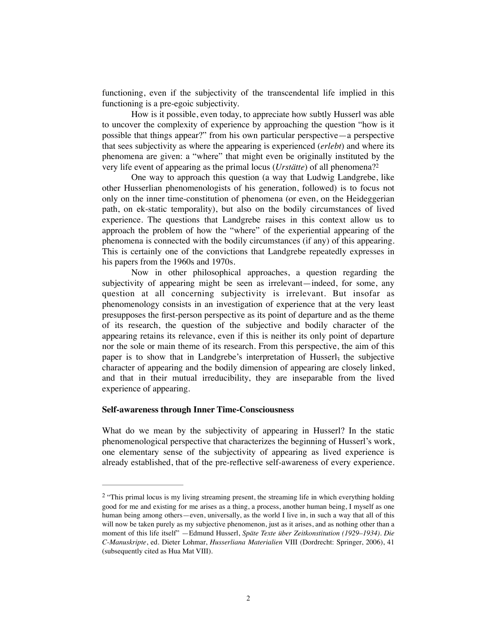functioning, even if the subjectivity of the transcendental life implied in this functioning is a pre-egoic subjectivity.

How is it possible, even today, to appreciate how subtly Husserl was able to uncover the complexity of experience by approaching the question "how is it possible that things appear?" from his own particular perspective—a perspective that sees subjectivity as where the appearing is experienced (*erlebt*) and where its phenomena are given: a "where" that might even be originally instituted by the very life event of appearing as the primal locus (*Urstätte*) of all phenomena[?2](#page-1-0)

<span id="page-1-1"></span>One way to approach this question (a way that Ludwig Landgrebe, like other Husserlian phenomenologists of his generation, followed) is to focus not only on the inner time-constitution of phenomena (or even, on the Heideggerian path, on ek-static temporality), but also on the bodily circumstances of lived experience. The questions that Landgrebe raises in this context allow us to approach the problem of how the "where" of the experiential appearing of the phenomena is connected with the bodily circumstances (if any) of this appearing. This is certainly one of the convictions that Landgrebe repeatedly expresses in his papers from the 1960s and 1970s.

Now in other philosophical approaches, a question regarding the subjectivity of appearing might be seen as irrelevant—indeed, for some, any question at all concerning subjectivity is irrelevant. But insofar as phenomenology consists in an investigation of experience that at the very least presupposes the first-person perspective as its point of departure and as the theme of its research, the question of the subjective and bodily character of the appearing retains its relevance, even if this is neither its only point of departure nor the sole or main theme of its research. From this perspective, the aim of this paper is to show that in Landgrebe's interpretation of Husserl, the subjective character of appearing and the bodily dimension of appearing are closely linked, and that in their mutual irreducibility, they are inseparable from the lived experience of appearing.

#### **Self-awareness through Inner Time-Consciousness**

What do we mean by the subjectivity of appearing in Husserl? In the static phenomenological perspective that characterizes the beginning of Husserl's work, one elementary sense of the subjectivity of appearing as lived experience is already established, that of the pre-reflective self-awareness of every experience.

<span id="page-1-0"></span> $\frac{2}{3}$  $\frac{2}{3}$  $\frac{2}{3}$ "This primal locus is my living streaming present, the streaming life in which everything holding good for me and existing for me arises as a thing, a process, another human being, I myself as one human being among others—even, universally, as the world I live in, in such a way that all of this will now be taken purely as my subjective phenomenon, just as it arises, and as nothing other than a moment of this life itself" —Edmund Husserl, *Späte Texte über Zeitkonstitution (1929–1934). Die C-Manuskripte*, ed. Dieter Lohmar, *Husserliana Materialien* VIII (Dordrecht: Springer, 2006), 41 (subsequently cited as Hua Mat VIII).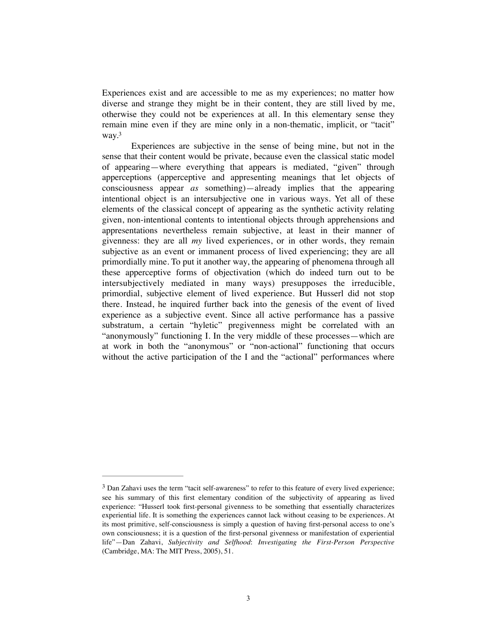Experiences exist and are accessible to me as my experiences; no matter how diverse and strange they might be in their content, they are still lived by me, otherwise they could not be experiences at all. In this elementary sense they remain mine even if they are mine only in a non-thematic, implicit, or "tacit" way[.3](#page-2-0)

<span id="page-2-1"></span>Experiences are subjective in the sense of being mine, but not in the sense that their content would be private, because even the classical static model of appearing—where everything that appears is mediated, "given" through apperceptions (apperceptive and appresenting meanings that let objects of consciousness appear *as* something)—already implies that the appearing intentional object is an intersubjective one in various ways. Yet all of these elements of the classical concept of appearing as the synthetic activity relating given, non-intentional contents to intentional objects through apprehensions and appresentations nevertheless remain subjective, at least in their manner of givenness: they are all *my* lived experiences, or in other words, they remain subjective as an event or immanent process of lived experiencing; they are all primordially mine. To put it another way, the appearing of phenomena through all these apperceptive forms of objectivation (which do indeed turn out to be intersubjectively mediated in many ways) presupposes the irreducible, primordial, subjective element of lived experience. But Husserl did not stop there. Instead, he inquired further back into the genesis of the event of lived experience as a subjective event. Since all active performance has a passive substratum, a certain "hyletic" pregivenness might be correlated with an "anonymously" functioning I. In the very middle of these processes—which are at work in both the "anonymous" or "non-actional" functioning that occurs without the active participation of the I and the "actional" performances where

<span id="page-2-0"></span><sup>&</sup>lt;sup>[3](#page-2-1)</sup> Dan Zahavi uses the term "tacit self-awareness" to refer to this feature of every lived experience; see his summary of this first elementary condition of the subjectivity of appearing as lived experience: "Husserl took first-personal givenness to be something that essentially characterizes experiential life. It is something the experiences cannot lack without ceasing to be experiences. At its most primitive, self-consciousness is simply a question of having first-personal access to one's own consciousness; it is a question of the first-personal givenness or manifestation of experiential life"—Dan Zahavi, *Subjectivity and Selfhood*: *Investigating the First-Person Perspective* (Cambridge, MA: The MIT Press, 2005), 51.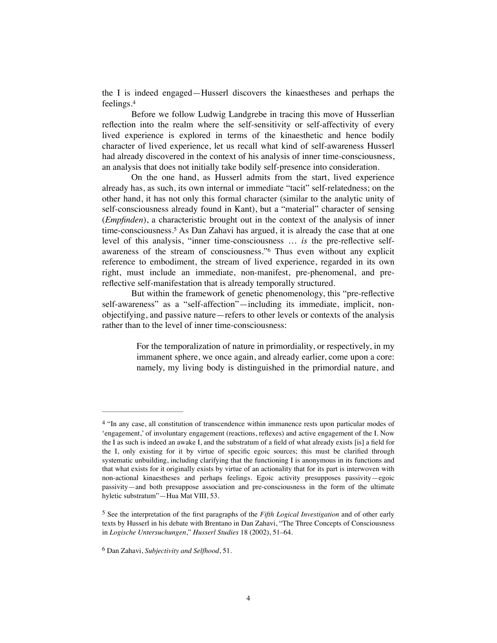<span id="page-3-3"></span>the I is indeed engaged—Husserl discovers the kinaestheses and perhaps the feelings[.4](#page-3-0)

Before we follow Ludwig Landgrebe in tracing this move of Husserlian reflection into the realm where the self-sensitivity or self-affectivity of every lived experience is explored in terms of the kinaesthetic and hence bodily character of lived experience, let us recall what kind of self-awareness Husserl had already discovered in the context of his analysis of inner time-consciousness, an analysis that does not initially take bodily self-presence into consideration.

<span id="page-3-4"></span>On the one hand, as Husserl admits from the start, lived experience already has, as such, its own internal or immediate "tacit" self-relatedness; on the other hand, it has not only this formal character (similar to the analytic unity of self-consciousness already found in Kant), but a "material" character of sensing (*Empfinden*), a characteristic brought out in the context of the analysis of inner time-consciousness.<sup>[5](#page-3-1)</sup> As Dan Zahavi has argued, it is already the case that at one level of this analysis, "inner time-consciousness … *is* the pre-reflective self-awareness of the stream of consciousness."<sup>[6](#page-3-2)</sup> Thus even without any explicit reference to embodiment, the stream of lived experience, regarded in its own right, must include an immediate, non-manifest, pre-phenomenal, and prereflective self-manifestation that is already temporally structured.

But within the framework of genetic phenomenology, this "pre-reflective self-awareness" as a "self-affection"—including its immediate, implicit, nonobjectifying, and passive nature—refers to other levels or contexts of the analysis rather than to the level of inner time-consciousness:

> <span id="page-3-5"></span>For the temporalization of nature in primordiality, or respectively, in my immanent sphere, we once again, and already earlier, come upon a core: namely, my living body is distinguished in the primordial nature, and

<span id="page-3-0"></span><sup>&</sup>lt;sup>4</sup>"In any case, all constitution of transcendence within immanence rests upon particular modes of 'engagement,' of involuntary engagement (reactions, reflexes) and active engagement of the I. Now the I as such is indeed an awake I, and the substratum of a field of what already exists [is] a field for the I, only existing for it by virtue of specific egoic sources; this must be clarified through systematic unbuilding, including clarifying that the functioning I is anonymous in its functions and that what exists for it originally exists by virtue of an actionality that for its part is interwoven with non-actional kinaestheses and perhaps feelings. Egoic activity presupposes passivity—egoic passivity—and both presuppose association and pre-consciousness in the form of the ultimate hyletic substratum"—Hua Mat VIII, 53.

<span id="page-3-1"></span><sup>&</sup>lt;sup>[5](#page-3-4)</sup> See the interpretation of the first paragraphs of the *Fifth Logical Investigation* and of other early texts by Husserl in his debate with Brentano in Dan Zahavi, "The Three Concepts of Consciousness in *Logische Untersuchungen*," *Husserl Studies* 18 (2002), 51–64.

<span id="page-3-2"></span>Dan Zahavi, *Subjectivity and Selfhood*, 51. [6](#page-3-5)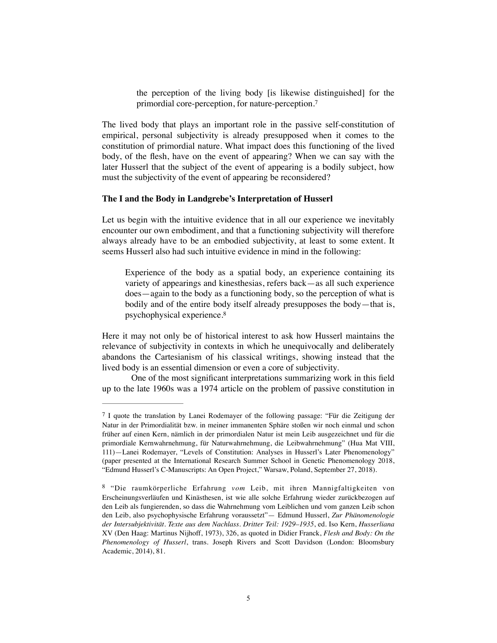<span id="page-4-2"></span>the perception of the living body [is likewise distinguished] for the primordial core-perception, for nature-perception.[7](#page-4-0)

The lived body that plays an important role in the passive self-constitution of empirical, personal subjectivity is already presupposed when it comes to the constitution of primordial nature. What impact does this functioning of the lived body, of the flesh, have on the event of appearing? When we can say with the later Husserl that the subject of the event of appearing is a bodily subject, how must the subjectivity of the event of appearing be reconsidered?

### **The I and the Body in Landgrebe's Interpretation of Husserl**

Let us begin with the intuitive evidence that in all our experience we inevitably encounter our own embodiment, and that a functioning subjectivity will therefore always already have to be an embodied subjectivity, at least to some extent. It seems Husserl also had such intuitive evidence in mind in the following:

<span id="page-4-3"></span>Experience of the body as a spatial body, an experience containing its variety of appearings and kinesthesias, refers back—as all such experience does—again to the body as a functioning body, so the perception of what is bodily and of the entire body itself already presupposes the body—that is, psychophysical experience[.8](#page-4-1)

Here it may not only be of historical interest to ask how Husserl maintains the relevance of subjectivity in contexts in which he unequivocally and deliberately abandons the Cartesianism of his classical writings, showing instead that the lived body is an essential dimension or even a core of subjectivity.

One of the most significant interpretations summarizing work in this field up to the late 1960s was a 1974 article on the problem of passive constitution in

<span id="page-4-0"></span>I quote the translation by Lanei Rodemayer of the following passage: "Für die Zeitigung der [7](#page-4-2) Natur in der Primordialität bzw. in meiner immanenten Sphäre stoßen wir noch einmal und schon früher auf einen Kern, nämlich in der primordialen Natur ist mein Leib ausgezeichnet und für die primordiale Kernwahrnehmung, für Naturwahrnehmung, die Leibwahrnehmung" (Hua Mat VIII, 111)—Lanei Rodemayer, "Levels of Constitution: Analyses in Husserl's Later Phenomenology" (paper presented at the International Research Summer School in Genetic Phenomenology 2018, "Edmund Husserl's C-Manuscripts: An Open Project," Warsaw, Poland, September 27, 2018).

<span id="page-4-1"></span>[<sup>8</sup>](#page-4-3) "Die raumkörperliche Erfahrung vom Leib, mit ihren Mannigfaltigkeiten von Erscheinungsverläufen und Kinästhesen, ist wie alle solche Erfahrung wieder zurückbezogen auf den Leib als fungierenden, so dass die Wahrnehmung vom Leiblichen und vom ganzen Leib schon den Leib, also psychophysische Erfahrung voraussetzt"— Edmund Husserl, *Zur Phänomenologie der Intersubjektivität. Texte aus dem Nachlass. Dritter Teil: 1929–1935*, ed. Iso Kern, *Husserliana*  XV (Den Haag: Martinus Nijhoff, 1973), 326, as quoted in Didier Franck, *Flesh and Body: On the Phenomenology of Husserl*, trans. Joseph Rivers and Scott Davidson (London: Bloomsbury Academic, 2014), 81.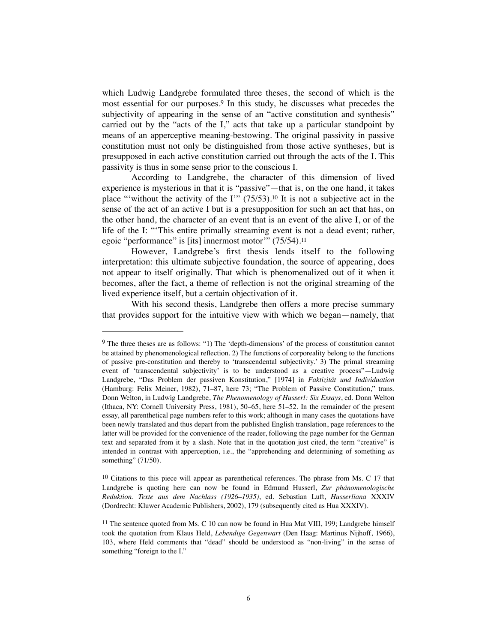<span id="page-5-3"></span>which Ludwig Landgrebe formulated three theses, the second of which is the mostessential for our purposes.<sup>[9](#page-5-0)</sup> In this study, he discusses what precedes the subjectivity of appearing in the sense of an "active constitution and synthesis" carried out by the "acts of the I," acts that take up a particular standpoint by means of an apperceptive meaning-bestowing. The original passivity in passive constitution must not only be distinguished from those active syntheses, but is presupposed in each active constitution carried out through the acts of the I. This passivity is thus in some sense prior to the conscious I.

<span id="page-5-4"></span>According to Landgrebe, the character of this dimension of lived experience is mysterious in that it is "passive"—that is, on the one hand, it takes place "'without the activity of the  $I'''$  (75/53)[.](#page-5-1)<sup>[10](#page-5-1)</sup> It is not a subjective act in the sense of the act of an active I but is a presupposition for such an act that has, on the other hand, the character of an event that is an event of the alive I, or of the life of the I: "'This entire primally streaming event is not a dead event; rather, egoic "performance" is [its] innermost motor'" (75/54).[11](#page-5-2)

<span id="page-5-5"></span>However, Landgrebe's first thesis lends itself to the following interpretation: this ultimate subjective foundation, the source of appearing, does not appear to itself originally. That which is phenomenalized out of it when it becomes, after the fact, a theme of reflection is not the original streaming of the lived experience itself, but a certain objectivation of it.

With his second thesis, Landgrebe then offers a more precise summary that provides support for the intuitive view with which we began—namely, that

<span id="page-5-0"></span><sup>&</sup>lt;sup>9</sup>The three theses are as follows: "1) The 'depth-dimensions' of the process of constitution cannot be attained by phenomenological reflection. 2) The functions of corporeality belong to the functions of passive pre-constitution and thereby to 'transcendental subjectivity.' 3) The primal streaming event of 'transcendental subjectivity' is to be understood as a creative process"—Ludwig Landgrebe, "Das Problem der passiven Konstitution," [1974] in *Faktizität und Individuation*  (Hamburg: Felix Meiner, 1982), 71–87, here 73; "The Problem of Passive Constitution," trans. Donn Welton, in Ludwig Landgrebe, *The Phenomenology of Husserl: Six Essays*, ed. Donn Welton (Ithaca, NY: Cornell University Press, 1981), 50–65, here 51–52. In the remainder of the present essay, all parenthetical page numbers refer to this work; although in many cases the quotations have been newly translated and thus depart from the published English translation, page references to the latter will be provided for the convenience of the reader, following the page number for the German text and separated from it by a slash. Note that in the quotation just cited, the term "creative" is intended in contrast with apperception, i.e., the "apprehending and determining of something *as* something" (71/50).

<span id="page-5-1"></span> $10$  Citations to this piece will appear as parenthetical references. The phrase from Ms. C 17 that Landgrebe is quoting here can now be found in Edmund Husserl, *Zur phänomenologische Reduktion. Texte aus dem Nachlass (1926–1935)*, ed. Sebastian Luft, *Husserliana* XXXIV (Dordrecht: Kluwer Academic Publishers, 2002), 179 (subsequently cited as Hua XXXIV).

<span id="page-5-2"></span> $11$ The sentence quoted from Ms. C 10 can now be found in Hua Mat VIII, 199; Landgrebe himself took the quotation from Klaus Held, *Lebendige Gegenwart* (Den Haag: Martinus Nijhoff, 1966), 103, where Held comments that "dead" should be understood as "non-living" in the sense of something "foreign to the I."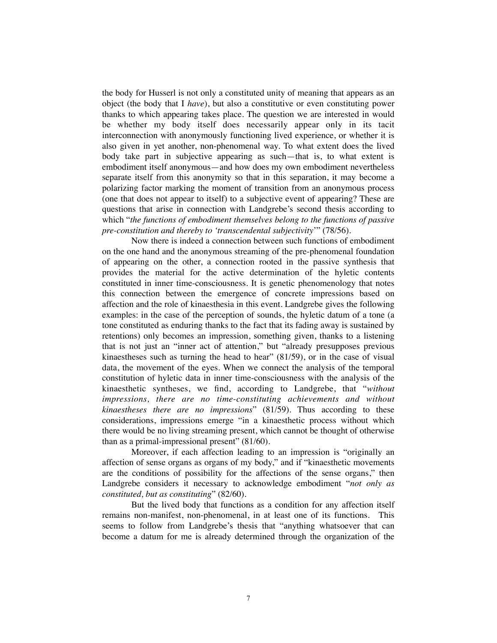the body for Husserl is not only a constituted unity of meaning that appears as an object (the body that I *have*), but also a constitutive or even constituting power thanks to which appearing takes place. The question we are interested in would be whether my body itself does necessarily appear only in its tacit interconnection with anonymously functioning lived experience, or whether it is also given in yet another, non-phenomenal way. To what extent does the lived body take part in subjective appearing as such—that is, to what extent is embodiment itself anonymous—and how does my own embodiment nevertheless separate itself from this anonymity so that in this separation, it may become a polarizing factor marking the moment of transition from an anonymous process (one that does not appear to itself) to a subjective event of appearing? These are questions that arise in connection with Landgrebe's second thesis according to which "*the functions of embodiment themselves belong to the functions of passive pre-constitution and thereby to 'transcendental subjectivity*'" (78/56).

Now there is indeed a connection between such functions of embodiment on the one hand and the anonymous streaming of the pre-phenomenal foundation of appearing on the other, a connection rooted in the passive synthesis that provides the material for the active determination of the hyletic contents constituted in inner time-consciousness. It is genetic phenomenology that notes this connection between the emergence of concrete impressions based on affection and the role of kinaesthesia in this event. Landgrebe gives the following examples: in the case of the perception of sounds, the hyletic datum of a tone (a tone constituted as enduring thanks to the fact that its fading away is sustained by retentions) only becomes an impression, something given, thanks to a listening that is not just an "inner act of attention," but "already presupposes previous kinaestheses such as turning the head to hear" (81/59), or in the case of visual data, the movement of the eyes. When we connect the analysis of the temporal constitution of hyletic data in inner time-consciousness with the analysis of the kinaesthetic syntheses, we find, according to Landgrebe, that "*without impressions, there are no time-constituting achievements and without kinaestheses there are no impressions*" (81/59). Thus according to these considerations, impressions emerge "in a kinaesthetic process without which there would be no living streaming present, which cannot be thought of otherwise than as a primal-impressional present" (81/60).

Moreover, if each affection leading to an impression is "originally an affection of sense organs as organs of my body," and if "kinaesthetic movements are the conditions of possibility for the affections of the sense organs," then Landgrebe considers it necessary to acknowledge embodiment "*not only as constituted, but as constituting*" (82/60).

But the lived body that functions as a condition for any affection itself remains non-manifest, non-phenomenal, in at least one of its functions. This seems to follow from Landgrebe's thesis that "anything whatsoever that can become a datum for me is already determined through the organization of the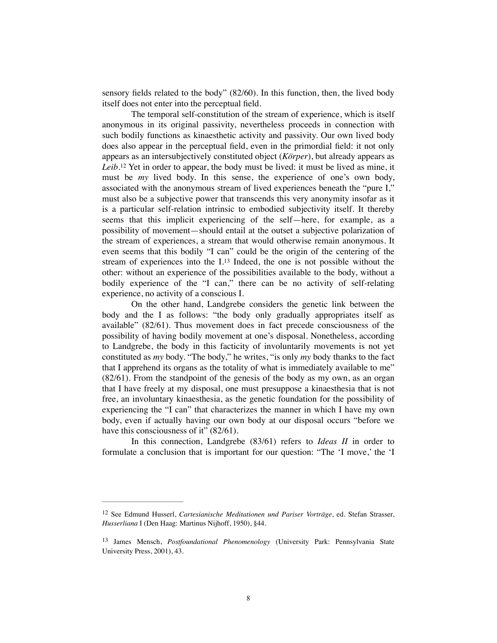sensory fields related to the body" (82/60). In this function, then, the lived body itself does not enter into the perceptual field.

<span id="page-7-2"></span>The temporal self-constitution of the stream of experience, which is itself anonymous in its original passivity, nevertheless proceeds in connection with such bodily functions as kinaesthetic activity and passivity. Our own lived body does also appear in the perceptual field, even in the primordial field: it not only appears as an intersubjectively constituted object (*Körper*), but already appears as *Leib*.<sup>[12](#page-7-0)</sup> Yet in order to appear, the body must be lived: it must be lived as mine, it must be *my* lived body. In this sense, the experience of one's own body, associated with the anonymous stream of lived experiences beneath the "pure I," must also be a subjective power that transcends this very anonymity insofar as it is a particular self-relation intrinsic to embodied subjectivity itself. It thereby seems that this implicit experiencing of the self—here, for example, as a possibility of movement—should entail at the outset a subjective polarization of the stream of experiences, a stream that would otherwise remain anonymous. It even seems that this bodily "I can" could be the origin of the centering of the stream of experiences into the I.<sup>[13](#page-7-1)</sup> Indeed, the one is not possible without the other: without an experience of the possibilities available to the body, without a bodily experience of the "I can," there can be no activity of self-relating experience, no activity of a conscious I.

<span id="page-7-3"></span>On the other hand, Landgrebe considers the genetic link between the body and the I as follows: "the body only gradually appropriates itself as available" (82/61). Thus movement does in fact precede consciousness of the possibility of having bodily movement at one's disposal. Nonetheless, according to Landgrebe, the body in this facticity of involuntarily movements is not yet constituted as *my* body. "The body," he writes, "is only *my* body thanks to the fact that I apprehend its organs as the totality of what is immediately available to me" (82/61). From the standpoint of the genesis of the body as my own, as an organ that I have freely at my disposal, one must presuppose a kinaesthesia that is not free, an involuntary kinaesthesia, as the genetic foundation for the possibility of experiencing the "I can" that characterizes the manner in which I have my own body, even if actually having our own body at our disposal occurs "before we have this consciousness of it" (82/61).

In this connection, Landgrebe (83/61) refers to *Ideas II* in order to formulate a conclusion that is important for our question: "The 'I move,' the 'I

<span id="page-7-0"></span><sup>&</sup>lt;sup>[12](#page-7-2)</sup> See Edmund Husserl, *Cartesianische Meditationen und Pariser Vorträge*, ed. Stefan Strasser, *Husserliana* I (Den Haag: Martinus Nijhoff, 1950), §44.

<span id="page-7-1"></span><sup>&</sup>lt;sup>[13](#page-7-3)</sup> James Mensch, *Postfoundational Phenomenology* (University Park: Pennsylvania State University Press, 2001), 43.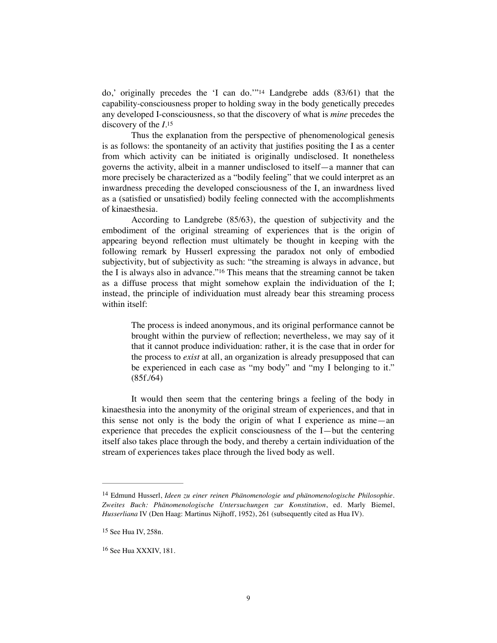<span id="page-8-3"></span>do,' originally precedes the 'I can do.'"<sup>[14](#page-8-0)</sup> Landgrebe adds  $(83/61)$  that the capability-consciousness proper to holding sway in the body genetically precedes any developed I-consciousness, so that the discovery of what is *mine* precedes the discovery of the *I*.[15](#page-8-1)

<span id="page-8-4"></span>Thus the explanation from the perspective of phenomenological genesis is as follows: the spontaneity of an activity that justifies positing the I as a center from which activity can be initiated is originally undisclosed. It nonetheless governs the activity, albeit in a manner undisclosed to itself—a manner that can more precisely be characterized as a "bodily feeling" that we could interpret as an inwardness preceding the developed consciousness of the I, an inwardness lived as a (satisfied or unsatisfied) bodily feeling connected with the accomplishments of kinaesthesia.

According to Landgrebe (85/63), the question of subjectivity and the embodiment of the original streaming of experiences that is the origin of appearing beyond reflection must ultimately be thought in keeping with the following remark by Husserl expressing the paradox not only of embodied subjectivity, but of subjectivity as such: "the streaming is always in advance, but theI is always also in advance."<sup>[16](#page-8-2)</sup> This means that the streaming cannot be taken as a diffuse process that might somehow explain the individuation of the I; instead, the principle of individuation must already bear this streaming process within itself:

> <span id="page-8-5"></span>The process is indeed anonymous, and its original performance cannot be brought within the purview of reflection; nevertheless, we may say of it that it cannot produce individuation: rather, it is the case that in order for the process to *exist* at all, an organization is already presupposed that can be experienced in each case as "my body" and "my I belonging to it." (85f./64)

It would then seem that the centering brings a feeling of the body in kinaesthesia into the anonymity of the original stream of experiences, and that in this sense not only is the body the origin of what I experience as mine—an experience that precedes the explicit consciousness of the I—but the centering itself also takes place through the body, and thereby a certain individuation of the stream of experiences takes place through the lived body as well.

<span id="page-8-0"></span>Edmund Husserl, *Ideen zu einer reinen Phänomenologie und phänomenologische Philosophie.* [14](#page-8-3) *Zweites Buch: Phänomenologische Untersuchungen zur Konstitution*, ed. Marly Biemel, *Husserliana* IV (Den Haag: Martinus Nijhoff, 1952), 261 (subsequently cited as Hua IV).

<span id="page-8-1"></span><sup>&</sup>lt;sup>[15](#page-8-4)</sup> See Hua IV, 258n.

<span id="page-8-2"></span><sup>&</sup>lt;sup>[16](#page-8-5)</sup> See Hua XXXIV, 181.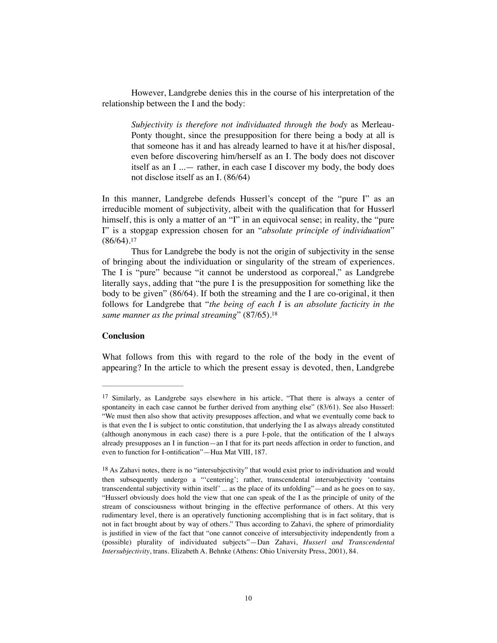However, Landgrebe denies this in the course of his interpretation of the relationship between the I and the body:

*Subjectivity is therefore not individuated through the body* as Merleau-Ponty thought, since the presupposition for there being a body at all is that someone has it and has already learned to have it at his/her disposal, even before discovering him/herself as an I. The body does not discover itself as an I ...— rather, in each case I discover my body, the body does not disclose itself as an I. (86/64)

In this manner, Landgrebe defends Husserl's concept of the "pure I" as an irreducible moment of subjectivity, albeit with the qualification that for Husserl himself, this is only a matter of an "I" in an equivocal sense; in reality, the "pure I" is a stopgap expression chosen for an "*absolute principle of individuation*"  $(86/64).17$  $(86/64).17$ 

<span id="page-9-2"></span>Thus for Landgrebe the body is not the origin of subjectivity in the sense of bringing about the individuation or singularity of the stream of experiences. The I is "pure" because "it cannot be understood as corporeal," as Landgrebe literally says, adding that "the pure I is the presupposition for something like the body to be given" (86/64). If both the streaming and the I are co-original, it then follows for Landgrebe that "*the being of each I* is *an absolute facticity in the same manner as the primal streaming*" (87/65).[18](#page-9-1)

## <span id="page-9-3"></span>**Conclusion**

What follows from this with regard to the role of the body in the event of appearing? In the article to which the present essay is devoted, then, Landgrebe

<span id="page-9-0"></span><sup>&</sup>lt;sup>[17](#page-9-2)</sup> Similarly, as Landgrebe says elsewhere in his article, "That there is always a center of spontaneity in each case cannot be further derived from anything else" (83/61). See also Husserl: "We must then also show that activity presupposes affection, and what we eventually come back to is that even the I is subject to ontic constitution, that underlying the I as always already constituted (although anonymous in each case) there is a pure I-pole, that the ontification of the I always already presupposes an I in function—an I that for its part needs affection in order to function, and even to function for I-ontification"—Hua Mat VIII, 187.

<span id="page-9-1"></span> $18$  As Zahavi notes, there is no "intersubjectivity" that would exist prior to individuation and would then subsequently undergo a "'centering'; rather, transcendental intersubjectivity 'contains transcendental subjectivity within itself' ... as the place of its unfolding"—and as he goes on to say, "Husserl obviously does hold the view that one can speak of the I as the principle of unity of the stream of consciousness without bringing in the effective performance of others. At this very rudimentary level, there is an operatively functioning accomplishing that is in fact solitary, that is not in fact brought about by way of others." Thus according to Zahavi, the sphere of primordiality is justified in view of the fact that "one cannot conceive of intersubjectivity independently from a (possible) plurality of individuated subjects"—Dan Zahavi, *Husserl and Transcendental Intersubjectivity*, trans. Elizabeth A. Behnke (Athens: Ohio University Press, 2001), 84.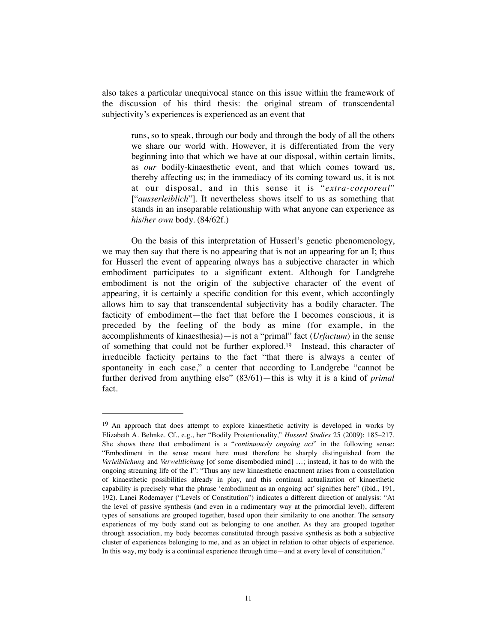also takes a particular unequivocal stance on this issue within the framework of the discussion of his third thesis: the original stream of transcendental subjectivity's experiences is experienced as an event that

runs, so to speak, through our body and through the body of all the others we share our world with. However, it is differentiated from the very beginning into that which we have at our disposal, within certain limits, as *our* bodily-kinaesthetic event, and that which comes toward us, thereby affecting us; in the immediacy of its coming toward us, it is not at our disposal, and in this sense it is "*extra-corporeal*" ["*ausserleiblich*"]. It nevertheless shows itself to us as something that stands in an inseparable relationship with what anyone can experience as *his/her own* body. (84/62f.)

On the basis of this interpretation of Husserl's genetic phenomenology, we may then say that there is no appearing that is not an appearing for an I; thus for Husserl the event of appearing always has a subjective character in which embodiment participates to a significant extent. Although for Landgrebe embodiment is not the origin of the subjective character of the event of appearing, it is certainly a specific condition for this event, which accordingly allows him to say that transcendental subjectivity has a bodily character. The facticity of embodiment—the fact that before the I becomes conscious, it is preceded by the feeling of the body as mine (for example, in the accomplishments of kinaesthesia)—is not a "primal" fact (*Urfactum*) in the sense of something that could not be further explored[.](#page-10-0)<sup>[19](#page-10-0)</sup> Instead, this character of irreducible facticity pertains to the fact "that there is always a center of spontaneity in each case," a center that according to Landgrebe "cannot be further derived from anything else" (83/61)—this is why it is a kind of *primal*  fact.

<span id="page-10-1"></span><span id="page-10-0"></span> $19$  An approach that does attempt to explore kinaesthetic activity is developed in works by Elizabeth A. Behnke. Cf., e.g., her "Bodily Protentionality," *Husserl Studies* 25 (2009): 185–217. She shows there that embodiment is a "*continuously ongoing act*" in the following sense: "Embodiment in the sense meant here must therefore be sharply distinguished from the *Verleiblichung* and *Verweltlichung* [of some disembodied mind] …; instead, it has to do with the ongoing streaming life of the I": "Thus any new kinaesthetic enactment arises from a constellation of kinaesthetic possibilities already in play, and this continual actualization of kinaesthetic capability is precisely what the phrase 'embodiment as an ongoing act' signifies here" (ibid., 191, 192). Lanei Rodemayer ("Levels of Constitution") indicates a different direction of analysis: "At the level of passive synthesis (and even in a rudimentary way at the primordial level), different types of sensations are grouped together, based upon their similarity to one another. The sensory experiences of my body stand out as belonging to one another. As they are grouped together through association, my body becomes constituted through passive synthesis as both a subjective cluster of experiences belonging to me, and as an object in relation to other objects of experience. In this way, my body is a continual experience through time—and at every level of constitution."